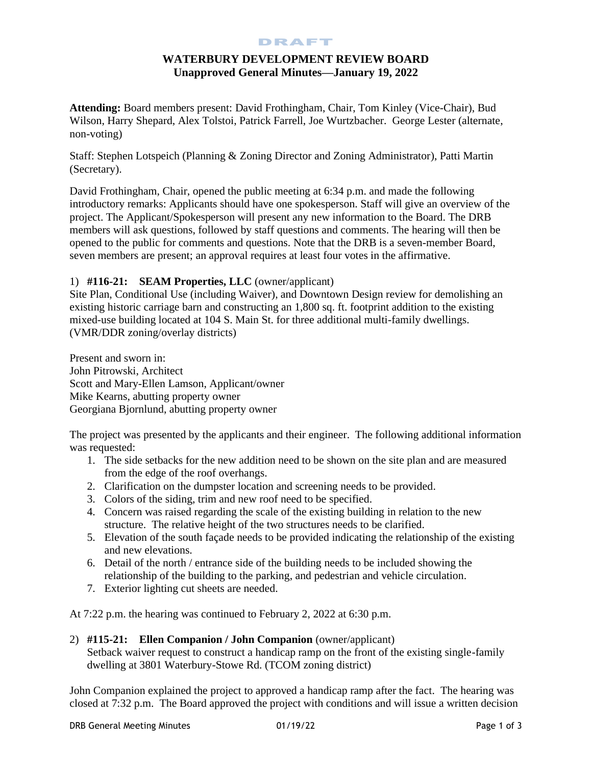#### DRAFT

# **WATERBURY DEVELOPMENT REVIEW BOARD Unapproved General Minutes—January 19, 2022**

**Attending:** Board members present: David Frothingham, Chair, Tom Kinley (Vice-Chair), Bud Wilson, Harry Shepard, Alex Tolstoi, Patrick Farrell, Joe Wurtzbacher. George Lester (alternate, non-voting)

Staff: Stephen Lotspeich (Planning & Zoning Director and Zoning Administrator), Patti Martin (Secretary).

David Frothingham, Chair, opened the public meeting at 6:34 p.m. and made the following introductory remarks: Applicants should have one spokesperson. Staff will give an overview of the project. The Applicant/Spokesperson will present any new information to the Board. The DRB members will ask questions, followed by staff questions and comments. The hearing will then be opened to the public for comments and questions. Note that the DRB is a seven-member Board, seven members are present; an approval requires at least four votes in the affirmative.

## 1) **#116-21: SEAM Properties, LLC** (owner/applicant)

Site Plan, Conditional Use (including Waiver), and Downtown Design review for demolishing an existing historic carriage barn and constructing an 1,800 sq. ft. footprint addition to the existing mixed-use building located at 104 S. Main St. for three additional multi-family dwellings. (VMR/DDR zoning/overlay districts)

Present and sworn in: John Pitrowski, Architect Scott and Mary-Ellen Lamson, Applicant/owner Mike Kearns, abutting property owner Georgiana Bjornlund, abutting property owner

The project was presented by the applicants and their engineer. The following additional information was requested:

- 1. The side setbacks for the new addition need to be shown on the site plan and are measured from the edge of the roof overhangs.
- 2. Clarification on the dumpster location and screening needs to be provided.
- 3. Colors of the siding, trim and new roof need to be specified.
- 4. Concern was raised regarding the scale of the existing building in relation to the new structure. The relative height of the two structures needs to be clarified.
- 5. Elevation of the south façade needs to be provided indicating the relationship of the existing and new elevations.
- 6. Detail of the north / entrance side of the building needs to be included showing the relationship of the building to the parking, and pedestrian and vehicle circulation.
- 7. Exterior lighting cut sheets are needed.

At 7:22 p.m. the hearing was continued to February 2, 2022 at 6:30 p.m.

2) **#115-21: Ellen Companion / John Companion** (owner/applicant) Setback waiver request to construct a handicap ramp on the front of the existing single-family dwelling at 3801 Waterbury-Stowe Rd. (TCOM zoning district)

John Companion explained the project to approved a handicap ramp after the fact. The hearing was closed at 7:32 p.m. The Board approved the project with conditions and will issue a written decision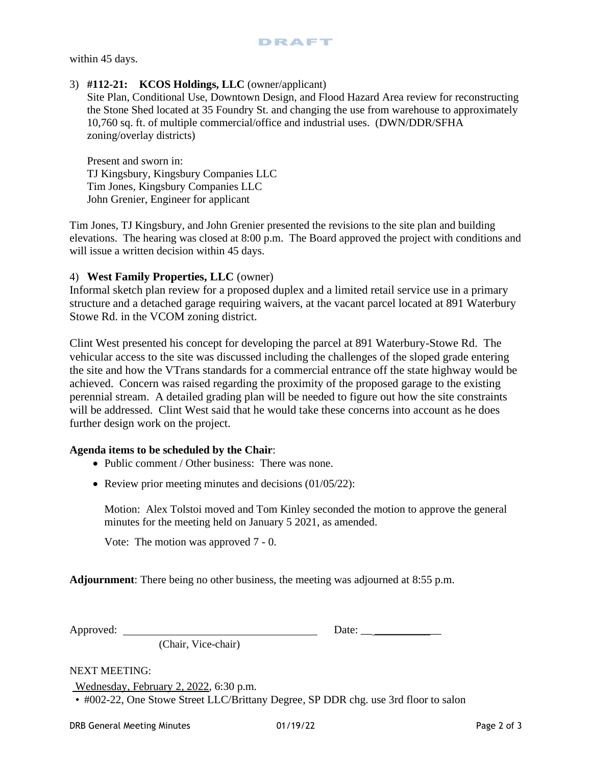within 45 days.

#### 3) **#112-21: KCOS Holdings, LLC** (owner/applicant)

Site Plan, Conditional Use, Downtown Design, and Flood Hazard Area review for reconstructing the Stone Shed located at 35 Foundry St. and changing the use from warehouse to approximately 10,760 sq. ft. of multiple commercial/office and industrial uses. (DWN/DDR/SFHA zoning/overlay districts)

Present and sworn in: TJ Kingsbury, Kingsbury Companies LLC Tim Jones, Kingsbury Companies LLC John Grenier, Engineer for applicant

Tim Jones, TJ Kingsbury, and John Grenier presented the revisions to the site plan and building elevations. The hearing was closed at 8:00 p.m. The Board approved the project with conditions and will issue a written decision within 45 days.

#### 4) **West Family Properties, LLC** (owner)

Informal sketch plan review for a proposed duplex and a limited retail service use in a primary structure and a detached garage requiring waivers, at the vacant parcel located at 891 Waterbury Stowe Rd. in the VCOM zoning district.

Clint West presented his concept for developing the parcel at 891 Waterbury-Stowe Rd. The vehicular access to the site was discussed including the challenges of the sloped grade entering the site and how the VTrans standards for a commercial entrance off the state highway would be achieved. Concern was raised regarding the proximity of the proposed garage to the existing perennial stream. A detailed grading plan will be needed to figure out how the site constraints will be addressed. Clint West said that he would take these concerns into account as he does further design work on the project.

#### **Agenda items to be scheduled by the Chair**:

- Public comment / Other business: There was none.
- Review prior meeting minutes and decisions (01/05/22):

Motion: Alex Tolstoi moved and Tom Kinley seconded the motion to approve the general minutes for the meeting held on January 5 2021, as amended.

Vote: The motion was approved 7 - 0.

**Adjournment**: There being no other business, the meeting was adjourned at 8:55 p.m.

Approved: Date: \_\_ \_\_\_\_\_\_\_\_\_\_\_\_

(Chair, Vice-chair)

### NEXT MEETING:

Wednesday, February 2, 2022, 6:30 p.m*.* 

• #002-22, One Stowe Street LLC/Brittany Degree, SP DDR chg. use 3rd floor to salon